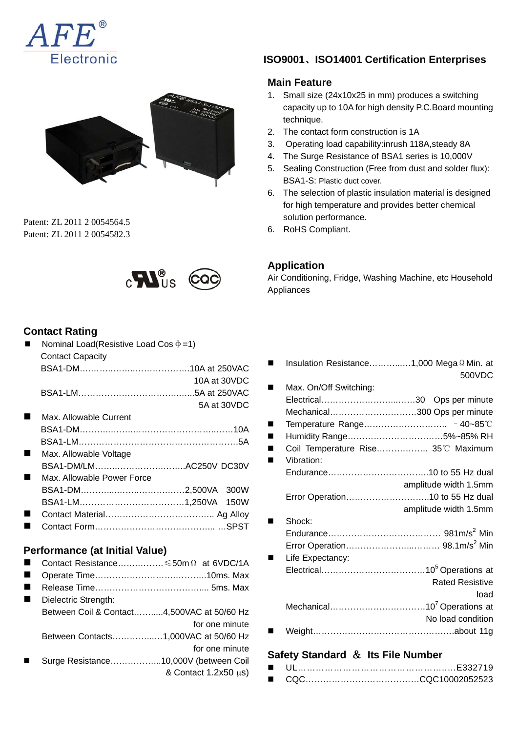



Patent: ZL 2011 2 0054564.5 Patent: ZL 2011 2 0054582.3



### **Contact Rating**

| Nominal Load(Resistive Load Cos $\phi = 1$ ) |              |
|----------------------------------------------|--------------|
| <b>Contact Capacity</b>                      |              |
|                                              |              |
|                                              | 10A at 30VDC |
|                                              |              |
|                                              | 5A at 30VDC  |
| Max. Allowable Current                       |              |
|                                              |              |
|                                              |              |
| Max. Allowable Voltage                       |              |
| BSA1-DM/LMAC250V DC30V                       |              |
| Max. Allowable Power Force                   |              |
|                                              |              |
|                                              |              |
|                                              |              |
|                                              |              |

#### **Performance (at Initial Value)**

- Contact Resistance…….………≤50mΩ at 6VDC/1A
- Operate Time……………………………………………10ms. Max
- Release Time……………………………….... 5ms. Max
- Dielectric Strength: Between Coil & Contact…….....4,500VAC at 50/60 Hz for one minute Between Contacts…………...…1,000VAC at 50/60 Hz for one minute Surge Resistance……………...10,000V (between Coil
	- & Contact 1.2x50 μs)

### **ISO9001**、**ISO14001 Certification Enterprises**

### **Main Feature**

- 1. Small size (24x10x25 in mm) produces a switching capacity up to 10A for high density P.C.Board mounting technique.
- 2. The contact form construction is 1A
- 3. Operating load capability:inrush 118A,steady 8A
- 4. The Surge Resistance of BSA1 series is 10,000V
- 5. Sealing Construction (Free from dust and solder flux): BSA1-S: Plastic duct cover.
- 6. The selection of plastic insulation material is designed for high temperature and provides better chemical solution performance.
- 6. RoHS Compliant.

### **Application**

Air Conditioning, Fridge, Washing Machine, etc Household Appliances

| Insulation Resistance1,000 Mega 2 Min. at |                        |
|-------------------------------------------|------------------------|
|                                           | 500VDC                 |
| Max. On/Off Switching:                    |                        |
|                                           |                        |
| Mechanical300 Ops per minute              |                        |
|                                           |                        |
| Humidity Range5%~85% RH                   |                        |
| Coil Temperature Rise 35°C Maximum        |                        |
| Vibration:                                |                        |
|                                           |                        |
|                                           | amplitude width 1.5mm  |
| Error Operation10 to 55 Hz dual           |                        |
|                                           | amplitude width 1.5mm  |
| Shock:                                    |                        |
|                                           |                        |
|                                           |                        |
| Life Expectancy:                          |                        |
|                                           |                        |
|                                           | <b>Rated Resistive</b> |
|                                           | load                   |
|                                           |                        |
|                                           | No load condition      |
|                                           |                        |

### **Safety Standard** & **Its File Number**